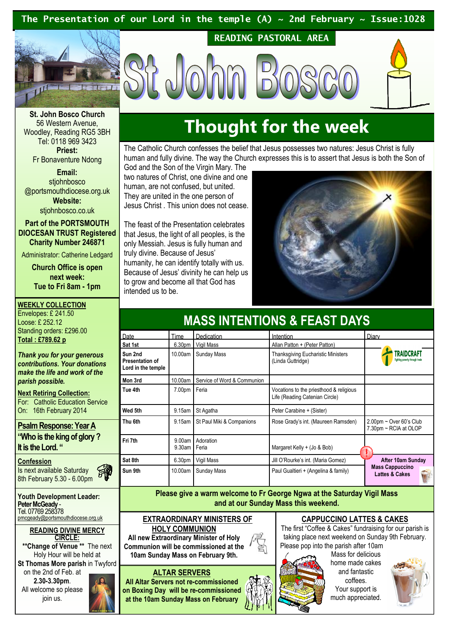### The Presentation of our Lord in the temple (A)  $\sim$  2nd February  $\sim$  Issue:1028



READING PASTORAL AREA



St. John Bosco Church 56 Western Avenue, Woodley, Reading RG5 3BH Tel: 0118 969 3423 Priest:

Fr Bonaventure Ndong

Email: stiohnbosco @portsmouthdiocese.org.uk Website: stjohnbosco.co.uk

Part of the PORTSMOUTH DIOCESAN TRUST Registered Charity Number 246871

Administrator: Catherine Ledgard

Church Office is open next week: Tue to Fri 8am - 1pm

WEEKLY COLLECTION Envelopes: £ 241.50 Loose: £ 252.12 Standing orders: £296.00 Total : £789.62 p

Thank you for your generous contributions. Your donations make the life and work of the parish possible.

Next Retiring Collection: For: Catholic Education Service On: 16th February 2014

Psalm Response: Year A "Who is the king of glory ? It is the Lord. "

: Confession Is next available Saturday 8th February 5.30 - 6.00pm

Youth Development Leader: Peter McGeady -Tel. 07769 258378 pmcgeady@portsmouthdiocese.org.uk

### READING DIVINE MERCY CIRCLE:

\*\*Change of Venue<sup>\*\*</sup> The next Holy Hour will be held at St Thomas More parish in Twyford on the 2nd of Feb. at 2.30-3.30pm. All welcome so please

join us.

## Thought for the week

The Catholic Church confesses the belief that Jesus possesses two natures: Jesus Christ is fully human and fully divine. The way the Church expresses this is to assert that Jesus is both the Son of

God and the Son of the Virgin Mary. The two natures of Christ, one divine and one human, are not confused, but united. They are united in the one person of Jesus Christ . This union does not cease.

The feast of the Presentation celebrates that Jesus, the light of all peoples, is the only Messiah. Jesus is fully human and truly divine. Because of Jesus' humanity, he can identify totally with us. Because of Jesus' divinity he can help us to grow and become all that God has intended us to be.



| MASS INTENTIUNS & FEAST DATS                            |                    |                             |                                                                           |                                                     |
|---------------------------------------------------------|--------------------|-----------------------------|---------------------------------------------------------------------------|-----------------------------------------------------|
| Date                                                    | Time               | Dedication                  | Intention                                                                 | Diary                                               |
| Sat 1st                                                 | 6.30 <sub>pm</sub> | Vigil Mass                  | Allan Patton + (Peter Patton)                                             |                                                     |
| Sun 2nd<br><b>Presentation of</b><br>Lord in the temple | 10.00am            | Sunday Mass                 | <b>Thanksgiving Eucharistic Ministers</b><br>(Linda Guttridge)            | 'RAIDCRAFT<br>Fighting poverty through trade        |
| Mon 3rd                                                 | 10.00am            | Service of Word & Communion |                                                                           |                                                     |
| Tue 4th                                                 | 7.00pm             | Feria                       | Vocations to the priesthood & religious<br>Life (Reading Catenian Circle) |                                                     |
| Wed 5th                                                 | 9.15am             | St Agatha                   | Peter Carabine + (Sister)                                                 |                                                     |
| Thu 6th                                                 | 9.15am             | St Paul Miki & Companions   | Rose Grady's int. (Maureen Ramsden)                                       | $2.00$ pm ~ Over 60's Club<br>7.30pm ~ RCIA at OLOP |
| Fri 7th                                                 | 9.00am<br>9.30am   | Adoration<br>Feria          | Margaret Kelly + (Jo & Bob)                                               |                                                     |
| Sat 8th                                                 | 6.30 <sub>pm</sub> | Vigil Mass                  | Jill O'Rourke's int. (Maria Gomez)                                        | After 10am Sunday                                   |
| Sun 9th                                                 | 10.00am            | <b>Sunday Mass</b>          | Paul Gualtieri + (Angelina & family)                                      | <b>Mass Cappuccino</b><br><b>Lattes &amp; Cakes</b> |

CO INTENTIONS & FEAST DAVS

Please give a warm welcome to Fr George Ngwa at the Saturday Vigil Mass and at our Sunday Mass this weekend.

EXTRAORDINARY MINISTERS OF

HOLY COMMUNION

All new Extraordinary Minister of Holy Communion will be commissioned at the 10am Sunday Mass on February 9th.

### ALTAR SERVERS

All Altar Servers not re-commissioned on Boxing Day will be re-commissioned at the 10am Sunday Mass on February

### CAPPUCCINO LATTES & CAKES

The first "Coffee & Cakes" fundraising for our parish is taking place next weekend on Sunday 9th February. Please pop into the parish after 10am



Mass for delicious home made cakes and fantastic coffees. Your support is much appreciated.